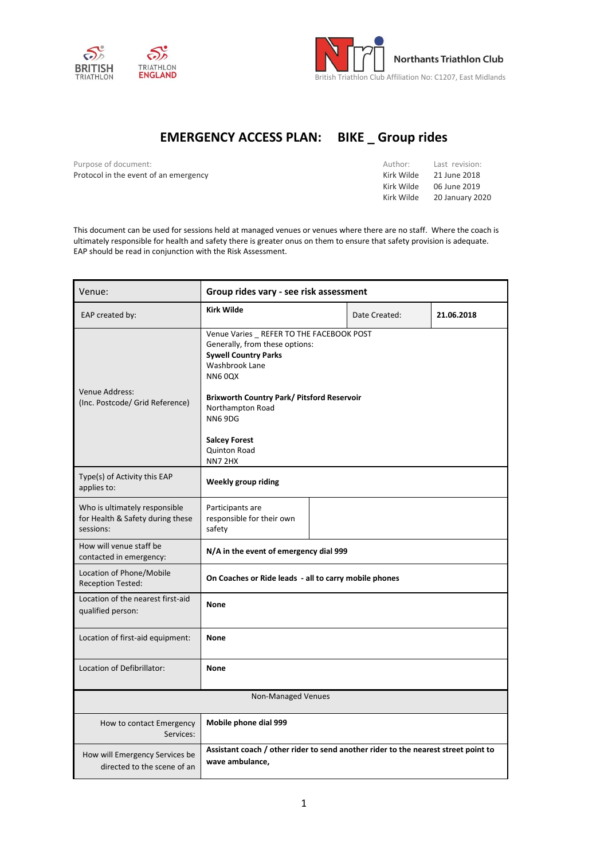



## **EMERGENCY ACCESS PLAN: BIKE \_ Group rides**

Purpose of document: Protocol in the event of an emergency

| Author:    | Last revision:         |
|------------|------------------------|
| Kirk Wilde | 21 June 2018           |
| Kirk Wilde | 06 June 2019           |
| Kirk Wilde | <b>20 January 2020</b> |

This document can be used for sessions held at managed venues or venues where there are no staff. Where the coach is ultimately responsible for health and safety there is greater onus on them to ensure that safety provision is adequate. EAP should be read in conjunction with the Risk Assessment.

| Venue:                                                                         | Group rides vary - see risk assessment                                                                                                                                                                                                                                                          |  |               |            |
|--------------------------------------------------------------------------------|-------------------------------------------------------------------------------------------------------------------------------------------------------------------------------------------------------------------------------------------------------------------------------------------------|--|---------------|------------|
| EAP created by:                                                                | <b>Kirk Wilde</b>                                                                                                                                                                                                                                                                               |  | Date Created: | 21.06.2018 |
| Venue Address:<br>(Inc. Postcode/ Grid Reference)                              | Venue Varies REFER TO THE FACEBOOK POST<br>Generally, from these options:<br><b>Sywell Country Parks</b><br>Washbrook Lane<br><b>NN60QX</b><br><b>Brixworth Country Park/ Pitsford Reservoir</b><br>Northampton Road<br>NN69DG<br><b>Salcey Forest</b><br><b>Quinton Road</b><br><b>NN7 2HX</b> |  |               |            |
| Type(s) of Activity this EAP<br>applies to:                                    | <b>Weekly group riding</b>                                                                                                                                                                                                                                                                      |  |               |            |
| Who is ultimately responsible<br>for Health & Safety during these<br>sessions: | Participants are<br>responsible for their own<br>safety                                                                                                                                                                                                                                         |  |               |            |
| How will venue staff be<br>contacted in emergency:                             | N/A in the event of emergency dial 999                                                                                                                                                                                                                                                          |  |               |            |
| Location of Phone/Mobile<br><b>Reception Tested:</b>                           | On Coaches or Ride leads - all to carry mobile phones                                                                                                                                                                                                                                           |  |               |            |
| Location of the nearest first-aid<br>qualified person:                         | <b>None</b>                                                                                                                                                                                                                                                                                     |  |               |            |
| Location of first-aid equipment:                                               | <b>None</b>                                                                                                                                                                                                                                                                                     |  |               |            |
| Location of Defibrillator:                                                     | <b>None</b>                                                                                                                                                                                                                                                                                     |  |               |            |
| Non-Managed Venues                                                             |                                                                                                                                                                                                                                                                                                 |  |               |            |
| How to contact Emergency<br>Services:                                          | Mobile phone dial 999                                                                                                                                                                                                                                                                           |  |               |            |
| How will Emergency Services be<br>directed to the scene of an                  | Assistant coach / other rider to send another rider to the nearest street point to<br>wave ambulance,                                                                                                                                                                                           |  |               |            |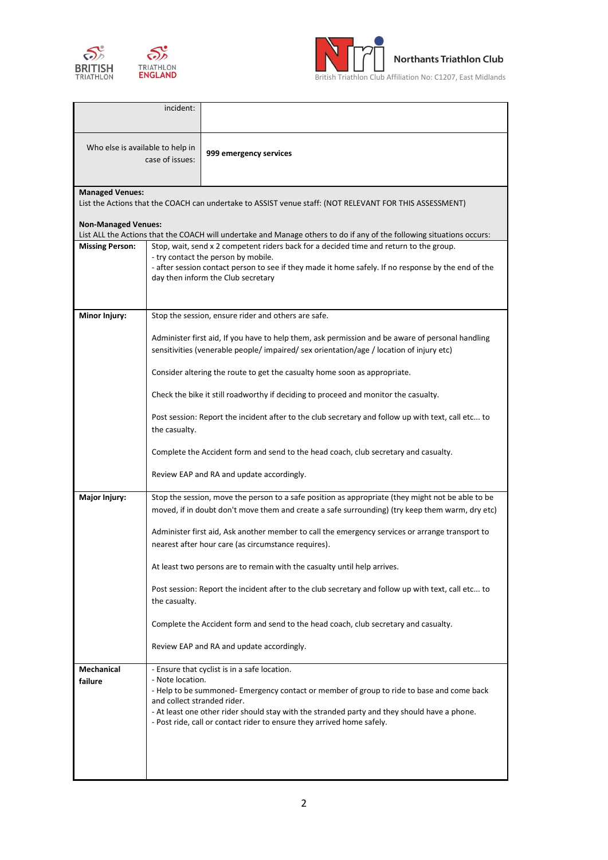





British Triathlon Club Affiliation No: C1207, East Midlands

|                                                     | incident:                                                                                                                                                                                                                                                                                                                                                                                           |                                                                                                                                                                                                                                                                                                                     |  |  |
|-----------------------------------------------------|-----------------------------------------------------------------------------------------------------------------------------------------------------------------------------------------------------------------------------------------------------------------------------------------------------------------------------------------------------------------------------------------------------|---------------------------------------------------------------------------------------------------------------------------------------------------------------------------------------------------------------------------------------------------------------------------------------------------------------------|--|--|
| Who else is available to help in<br>case of issues: |                                                                                                                                                                                                                                                                                                                                                                                                     | 999 emergency services                                                                                                                                                                                                                                                                                              |  |  |
| <b>Managed Venues:</b>                              |                                                                                                                                                                                                                                                                                                                                                                                                     | List the Actions that the COACH can undertake to ASSIST venue staff: (NOT RELEVANT FOR THIS ASSESSMENT)                                                                                                                                                                                                             |  |  |
| <b>Non-Managed Venues:</b>                          |                                                                                                                                                                                                                                                                                                                                                                                                     |                                                                                                                                                                                                                                                                                                                     |  |  |
| <b>Missing Person:</b>                              | List ALL the Actions that the COACH will undertake and Manage others to do if any of the following situations occurs:<br>Stop, wait, send x 2 competent riders back for a decided time and return to the group.<br>- try contact the person by mobile.<br>- after session contact person to see if they made it home safely. If no response by the end of the<br>day then inform the Club secretary |                                                                                                                                                                                                                                                                                                                     |  |  |
| <b>Minor Injury:</b>                                | Stop the session, ensure rider and others are safe.                                                                                                                                                                                                                                                                                                                                                 |                                                                                                                                                                                                                                                                                                                     |  |  |
|                                                     | Administer first aid, If you have to help them, ask permission and be aware of personal handling<br>sensitivities (venerable people/ impaired/ sex orientation/age / location of injury etc)                                                                                                                                                                                                        |                                                                                                                                                                                                                                                                                                                     |  |  |
|                                                     |                                                                                                                                                                                                                                                                                                                                                                                                     | Consider altering the route to get the casualty home soon as appropriate.                                                                                                                                                                                                                                           |  |  |
|                                                     |                                                                                                                                                                                                                                                                                                                                                                                                     | Check the bike it still roadworthy if deciding to proceed and monitor the casualty.                                                                                                                                                                                                                                 |  |  |
|                                                     | the casualty.                                                                                                                                                                                                                                                                                                                                                                                       | Post session: Report the incident after to the club secretary and follow up with text, call etc to                                                                                                                                                                                                                  |  |  |
|                                                     |                                                                                                                                                                                                                                                                                                                                                                                                     | Complete the Accident form and send to the head coach, club secretary and casualty.                                                                                                                                                                                                                                 |  |  |
|                                                     |                                                                                                                                                                                                                                                                                                                                                                                                     | Review EAP and RA and update accordingly.                                                                                                                                                                                                                                                                           |  |  |
| Major Injury:                                       |                                                                                                                                                                                                                                                                                                                                                                                                     | Stop the session, move the person to a safe position as appropriate (they might not be able to be<br>moved, if in doubt don't move them and create a safe surrounding) (try keep them warm, dry etc)                                                                                                                |  |  |
|                                                     |                                                                                                                                                                                                                                                                                                                                                                                                     | Administer first aid, Ask another member to call the emergency services or arrange transport to<br>nearest after hour care (as circumstance requires).                                                                                                                                                              |  |  |
|                                                     |                                                                                                                                                                                                                                                                                                                                                                                                     | At least two persons are to remain with the casualty until help arrives.                                                                                                                                                                                                                                            |  |  |
|                                                     | the casualty.                                                                                                                                                                                                                                                                                                                                                                                       | Post session: Report the incident after to the club secretary and follow up with text, call etc to                                                                                                                                                                                                                  |  |  |
|                                                     |                                                                                                                                                                                                                                                                                                                                                                                                     | Complete the Accident form and send to the head coach, club secretary and casualty.                                                                                                                                                                                                                                 |  |  |
|                                                     |                                                                                                                                                                                                                                                                                                                                                                                                     | Review EAP and RA and update accordingly.                                                                                                                                                                                                                                                                           |  |  |
| Mechanical<br>failure                               | - Note location.<br>and collect stranded rider.                                                                                                                                                                                                                                                                                                                                                     | - Ensure that cyclist is in a safe location.<br>- Help to be summoned- Emergency contact or member of group to ride to base and come back<br>- At least one other rider should stay with the stranded party and they should have a phone.<br>- Post ride, call or contact rider to ensure they arrived home safely. |  |  |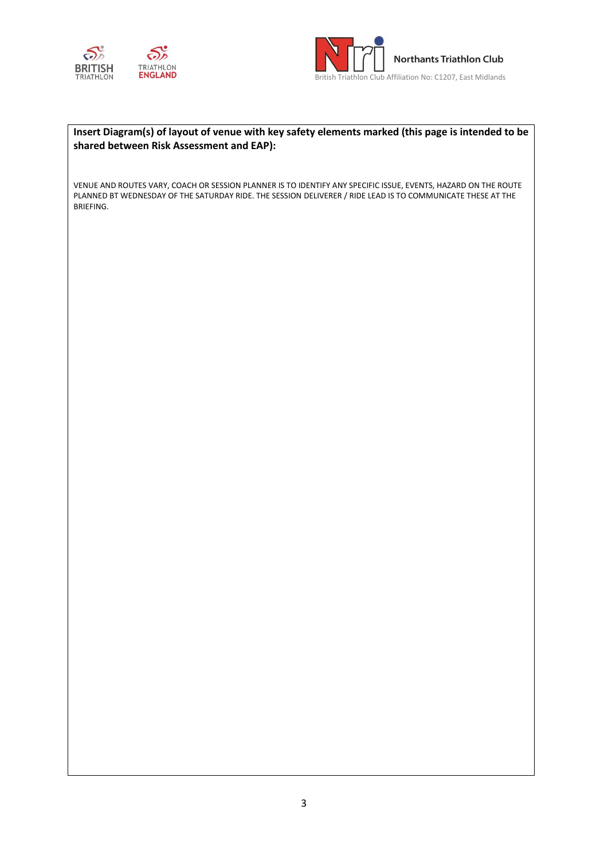



## **Insert Diagram(s) of layout of venue with key safety elements marked (this page is intended to be shared between Risk Assessment and EAP):**

VENUE AND ROUTES VARY, COACH OR SESSION PLANNER IS TO IDENTIFY ANY SPECIFIC ISSUE, EVENTS, HAZARD ON THE ROUTE PLANNED BT WEDNESDAY OF THE SATURDAY RIDE. THE SESSION DELIVERER / RIDE LEAD IS TO COMMUNICATE THESE AT THE BRIEFING.